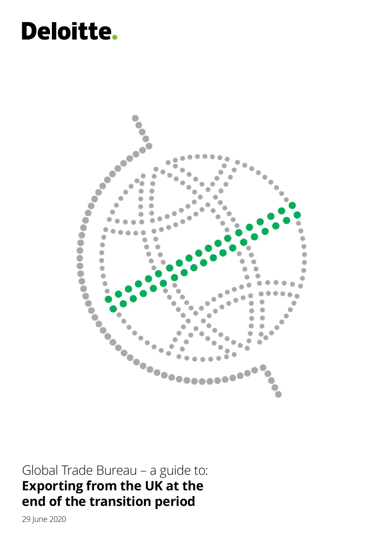# **Deloitte.**



Global Trade Bureau – a guide to: **Exporting from the UK at the end of the transition period**

29 June 2020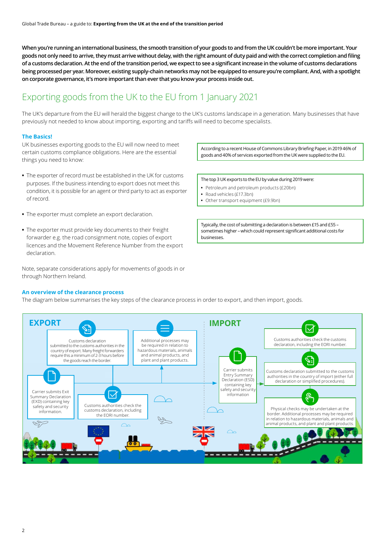**When you're running an international business, the smooth transition of your goods to and from the UK couldn't be more important. Your goods not only need to arrive, they must arrive without delay, with the right amount of duty paid and with the correct completion and filing of a customs declaration. At the end of the transition period, we expect to see a significant increase in the volume of customs declarations being processed per year. Moreover, existing supply-chain networks may not be equipped to ensure you're compliant. And, with a spotlight on corporate governance, it's more important than ever that you know your process inside out.** 

# Exporting goods from the UK to the EU from 1 January 2021

The UK's departure from the EU will herald the biggest change to the UK's customs landscape in a generation. Many businesses that have previously not needed to know about importing, exporting and tariffs will need to become specialists.

### **The Basics!**

UK businesses exporting goods to the EU will now need to meet certain customs compliance obligations. Here are the essential things you need to know:

- **•** The exporter of record must be established in the UK for customs purposes. If the business intending to export does not meet this condition, it is possible for an agent or third party to act as exporter of record.
- **•** The exporter must complete an export declaration.
- **•** The exporter must provide key documents to their freight forwarder e.g. the road consignment note, copies of export licences and the Movement Reference Number from the export declaration.

Note, separate considerations apply for movements of goods in or through Northern Ireland.

**An overview of the clearance process**

The diagram below summarises the key steps of the clearance process in order to export, and then import, goods.



According to a recent House of Commons Library Briefing Paper, in 2019 46% of goods and 40% of services exported from the UK were supplied to the EU.

The top 3 UK exports to the EU by value during 2019 were:

- **•** Petroleum and petroleum products (£20bn)
- **•** Road vehicles (£17.3bn)
- **•** Other transport equipment (£9.9bn)

Typically, the cost of submitting a declaration is between £15 and £55 – sometimes higher – which could represent significant additional costs for businesses.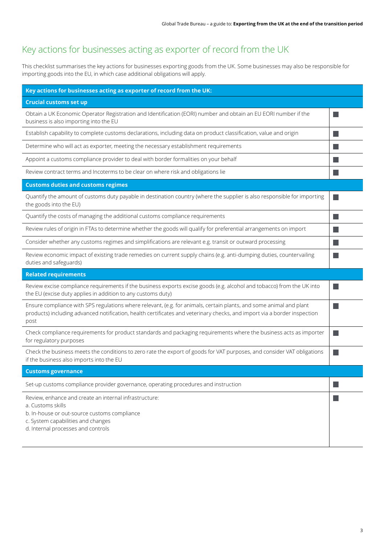# Key actions for businesses acting as exporter of record from the UK

This checklist summarises the key actions for businesses exporting goods from the UK. Some businesses may also be responsible for importing goods into the EU, in which case additional obligations will apply.

| Key actions for businesses acting as exporter of record from the UK:                                                                                                                                                                                    |  |
|---------------------------------------------------------------------------------------------------------------------------------------------------------------------------------------------------------------------------------------------------------|--|
| <b>Crucial customs set up</b>                                                                                                                                                                                                                           |  |
| Obtain a UK Economic Operator Registration and Identification (EORI) number and obtain an EU EORI number if the<br>business is also importing into the EU                                                                                               |  |
| Establish capability to complete customs declarations, including data on product classification, value and origin                                                                                                                                       |  |
| Determine who will act as exporter, meeting the necessary establishment requirements                                                                                                                                                                    |  |
| Appoint a customs compliance provider to deal with border formalities on your behalf                                                                                                                                                                    |  |
| Review contract terms and Incoterms to be clear on where risk and obligations lie                                                                                                                                                                       |  |
| <b>Customs duties and customs regimes</b>                                                                                                                                                                                                               |  |
| Quantify the amount of customs duty payable in destination country (where the supplier is also responsible for importing<br>the goods into the EU)                                                                                                      |  |
| Quantify the costs of managing the additional customs compliance requirements                                                                                                                                                                           |  |
| Review rules of origin in FTAs to determine whether the goods will qualify for preferential arrangements on import                                                                                                                                      |  |
| Consider whether any customs regimes and simplifications are relevant e.g. transit or outward processing                                                                                                                                                |  |
| Review economic impact of existing trade remedies on current supply chains (e.g. anti-dumping duties, countervailing<br>duties and safeguards)                                                                                                          |  |
| <b>Related requirements</b>                                                                                                                                                                                                                             |  |
| Review excise compliance requirements if the business exports excise goods (e.g. alcohol and tobacco) from the UK into<br>the EU (excise duty applies in addition to any customs duty)                                                                  |  |
| Ensure compliance with SPS regulations where relevant, (e.g. for animals, certain plants, and some animal and plant<br>products) including advanced notification, health certificates and veterinary checks, and import via a border inspection<br>post |  |
| Check compliance requirements for product standards and packaging requirements where the business acts as importer<br>for regulatory purposes                                                                                                           |  |
| Check the business meets the conditions to zero rate the export of goods for VAT purposes, and consider VAT obligations<br>if the business also imports into the EU                                                                                     |  |
| <b>Customs governance</b>                                                                                                                                                                                                                               |  |
| Set-up customs compliance provider governance, operating procedures and instruction                                                                                                                                                                     |  |
| Review, enhance and create an internal infrastructure:<br>a. Customs skills<br>b. In-house or out-source customs compliance<br>c. System capabilities and changes<br>d. Internal processes and controls                                                 |  |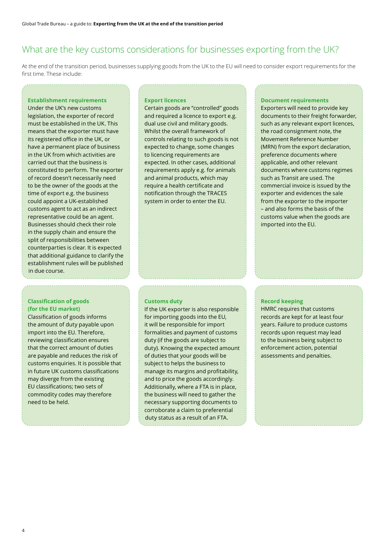### What are the key customs considerations for businesses exporting from the UK?

At the end of the transition period, businesses supplying goods from the UK to the EU will need to consider export requirements for the first time. These include:

### **Establishment requirements**

Under the UK's new customs legislation, the exporter of record must be established in the UK. This means that the exporter must have its registered office in the UK, or have a permanent place of business in the UK from which activities are carried out that the business is constituted to perform. The exporter of record doesn't necessarily need to be the owner of the goods at the time of export e.g. the business could appoint a UK-established customs agent to act as an indirect representative could be an agent. Businesses should check their role in the supply chain and ensure the split of responsibilities between counterparties is clear. It is expected that additional guidance to clarify the establishment rules will be published in due course.

### **Classification of goods (for the EU market)**

Classification of goods informs the amount of duty payable upon import into the EU. Therefore, reviewing classification ensures that the correct amount of duties are payable and reduces the risk of customs enquiries. It is possible that in future UK customs classifications may diverge from the existing EU classifications; two sets of commodity codes may therefore need to be held.

#### **Export licences**

Certain goods are "controlled" goods and required a licence to export e.g. dual use civil and military goods. Whilst the overall framework of controls relating to such goods is not expected to change, some changes to licencing requirements are expected. In other cases, additional requirements apply e.g. for animals and animal products, which may require a health certificate and notification through the TRACES system in order to enter the EU.

#### **Document requirements**

Exporters will need to provide key documents to their freight forwarder, such as any relevant export licences, the road consignment note, the Movement Reference Number (MRN) from the export declaration, preference documents where applicable, and other relevant documents where customs regimes such as Transit are used. The commercial invoice is issued by the exporter and evidences the sale from the exporter to the importer – and also forms the basis of the customs value when the goods are imported into the EU.

### **Customs duty**

If the UK exporter is also responsible for importing goods into the EU, it will be responsible for import formalities and payment of customs duty (if the goods are subject to duty). Knowing the expected amount of duties that your goods will be subject to helps the business to manage its margins and profitability, and to price the goods accordingly. Additionally, where a FTA is in place, the business will need to gather the necessary supporting documents to corroborate a claim to preferential duty status as a result of an FTA.

#### **Record keeping**

HMRC requires that customs records are kept for at least four years. Failure to produce customs records upon request may lead to the business being subject to enforcement action, potential assessments and penalties.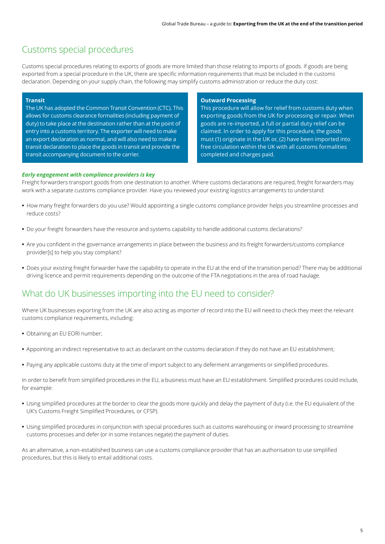### Customs special procedures

Customs special procedures relating to exports of goods are more limited than those relating to imports of goods. If goods are being exported from a special procedure in the UK, there are specific information requirements that must be included in the customs declaration. Depending on your supply chain, the following may simplify customs administration or reduce the duty cost:

### **Transit**

The UK has adopted the Common Transit Convention (CTC). This allows for customs clearance formalities (including payment of duty) to take place at the destination rather than at the point of entry into a customs territory. The exporter will need to make an export declaration as normal, and will also need to make a transit declaration to place the goods in transit and provide the transit accompanying document to the carrier.

### **Outward Processing**

This procedure will allow for relief from customs duty when exporting goods from the UK for processing or repair. When goods are re‑imported, a full or partial duty relief can be claimed. In order to apply for this procedure, the goods must (1) originate in the UK or, (2) have been imported into free circulation within the UK with all customs formalities completed and charges paid.

### *Early engagement with compliance providers is key*

Freight forwarders transport goods from one destination to another. Where customs declarations are required, freight forwarders may work with a separate customs compliance provider. Have you reviewed your existing logistics arrangements to understand:

- **•** How many freight forwarders do you use? Would appointing a single customs compliance provider helps you streamline processes and reduce costs?
- **•** Do your freight forwarders have the resource and systems capability to handle additional customs declarations?
- **•** Are you confident in the governance arrangements in place between the business and its freight forwarders/customs compliance provider[s] to help you stay compliant?
- **•** Does your existing freight forwarder have the capability to operate in the EU at the end of the transition period? There may be additional driving licence and permit requirements depending on the outcome of the FTA negotiations in the area of road haulage.

### What do UK businesses importing into the EU need to consider?

Where UK businesses exporting from the UK are also acting as importer of record into the EU will need to check they meet the relevant customs compliance requirements, including:

- **•** Obtaining an EU EORI number;
- **•** Appointing an indirect representative to act as declarant on the customs declaration if they do not have an EU establishment;
- **•** Paying any applicable customs duty at the time of import subject to any deferment arrangements or simplified procedures.

In order to benefit from simplified procedures in the EU, a business must have an EU establishment. Simplified procedures could include, for example:

- **•** Using simplified procedures at the border to clear the goods more quickly and delay the payment of duty (i.e. the EU equivalent of the UK's Customs Freight Simplified Procedures, or CFSP).
- **•** Using simplified procedures in conjunction with special procedures such as customs warehousing or inward processing to streamline customs processes and defer (or in some instances negate) the payment of duties.

As an alternative, a non-established business can use a customs compliance provider that has an authorisation to use simplified procedures, but this is likely to entail additional costs.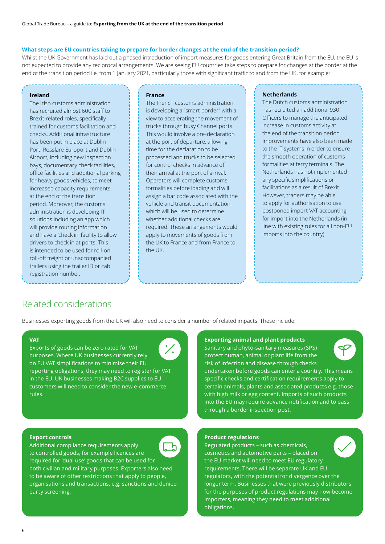### **What steps are EU countries taking to prepare for border changes at the end of the transition period?**

Whilst the UK Government has laid out a phased introduction of import measures for goods entering Great Britain from the EU, the EU is not expected to provide any reciprocal arrangements. We are seeing EU countries take steps to prepare for changes at the border at the end of the transition period i.e. from 1 January 2021, particularly those with significant traffic to and from the UK, for example:

### **Ireland**

The Irish customs administration has recruited almost 600 staff to Brexit-related roles, specifically trained for customs facilitation and checks. Additional infrastructure has been put in place at Dublin Port, Rosslare Europort and Dublin Airport, including new inspection bays, documentary check facilities, office facilities and additional parking for heavy goods vehicles, to meet increased capacity requirements at the end of the transition period. Moreover, the customs administration is developing IT solutions including an app which will provide routing information and have a 'check in' facility to allow drivers to check in at ports. This is intended to be used for roll-on roll-off freight or unaccompanied trailers using the trailer ID or cab registration number.

### **France**

The French customs administration is developing a "smart border" with a view to accelerating the movement of trucks through busy Channel ports. This would involve a pre-declaration at the port of departure, allowing time for the declaration to be processed and trucks to be selected for control checks in advance of their arrival at the port of arrival. Operators will complete customs formalities before loading and will assign a bar code associated with the vehicle and transit documentation, which will be used to determine whether additional checks are required. These arrangements would apply to movements of goods from the UK to France and from France to the UK.

### **Netherlands**

The Dutch customs administration has recruited an additional 930 Officers to manage the anticipated increase in customs activity at the end of the transition period. Improvements have also been made to the IT systems in order to ensure the smooth operation of customs formalities at ferry terminals. The Netherlands has not implemented any specific simplifications or facilitations as a result of Brexit. However, traders may be able to apply for authorisation to use postponed import VAT accounting for import into the Netherlands (in line with existing rules for all non-EU imports into the country).

### Related considerations

Businesses exporting goods from the UK will also need to consider a number of related impacts. These include:

### **VAT**

Exports of goods can be zero rated for VAT purposes. Where UK businesses currently rely on EU VAT simplifications to minimise their EU reporting obligations, they may need to register for VAT in the EU. UK businesses making B2C supplies to EU customers will need to consider the new e-commerce rules.

### **Exporting animal and plant products**

Sanitary and phyto-sanitary measures (SPS) protect human, animal or plant life from the risk of infection and disease through checks

undertaken before goods can enter a country. This means specific checks and certification requirements apply to certain animals, plants and associated products e.g. those with high milk or egg content. Imports of such products into the EU may require advance notification and to pass through a border inspection post.

### **Export controls**

Additional compliance requirements apply to controlled goods, for example licences are required for 'dual use' goods that can be used for both civilian and military purposes. Exporters also need to be aware of other restrictions that apply to people, organisations and transactions, e.g. sanctions and denied party screening.

### **Product regulations**

Regulated products – such as chemicals, cosmetics and automotive parts – placed on the EU market will need to meet EU regulatory requirements. There will be separate UK and EU regulators, with the potential for divergence over the longer term. Businesses that were previously distributors for the purposes of product regulations may now become importers, meaning they need to meet additional obligations.

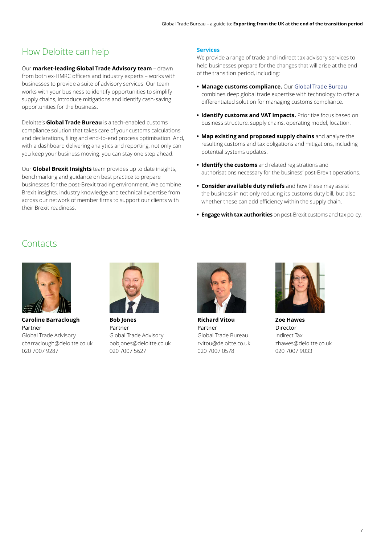# How Deloitte can help

Our **market-leading Global Trade Advisory team** – drawn from both ex-HMRC officers and industry experts – works with businesses to provide a suite of advisory services. Our team works with your business to identify opportunities to simplify supply chains, introduce mitigations and identify cash-saving opportunities for the business.

Deloitte's **Global Trade Bureau** is a tech-enabled customs compliance solution that takes care of your customs calculations and declarations, filing and end-to-end process optimisation. And, with a dashboard delivering analytics and reporting, not only can you keep your business moving, you can stay one step ahead.

Our **Global Brexit Insights** team provides up to date insights, benchmarking and guidance on best practice to prepare businesses for the post-Brexit trading environment. We combine Brexit insights, industry knowledge and technical expertise from across our network of member firms to support our clients with their Brexit readiness.

### **Services**

We provide a range of trade and indirect tax advisory services to help businesses prepare for the changes that will arise at the end of the transition period, including:

- **• Manage customs compliance.** Our [Global Trade Bureau](https://www2.deloitte.com/uk/en/pages/tax/solutions/globaltradebureau.html ) combines deep global trade expertise with technology to offer a differentiated solution for managing customs compliance.
- **• Identify customs and VAT impacts.** Prioritize focus based on business structure, supply chains, operating model, location.
- **• Map existing and proposed supply chains** and analyze the resulting customs and tax obligations and mitigations, including potential systems updates.
- **• Identify the customs** and related registrations and authorisations necessary for the business' post-Brexit operations.
- **• Consider available duty reliefs** and how these may assist the business in not only reducing its customs duty bill, but also whether these can add efficiency within the supply chain.
- **• Engage with tax authorities** on post-Brexit customs and tax policy.

# **Contacts**

\_ \_ \_ \_ \_ \_ \_ \_ \_ \_ \_ \_ \_



**Caroline Barraclough** Partner Global Trade Advisory cbarraclough@deloitte.co.uk 020 7007 9287



**Bob Jones** Partner Global Trade Advisory bobjones@deloitte.co.uk 020 7007 5627



**Richard Vitou** Partner Global Trade Bureau rvitou@deloitte.co.uk 020 7007 0578



**Zoe Hawes** Director Indirect Tax zhawes@deloitte.co.uk 020 7007 9033